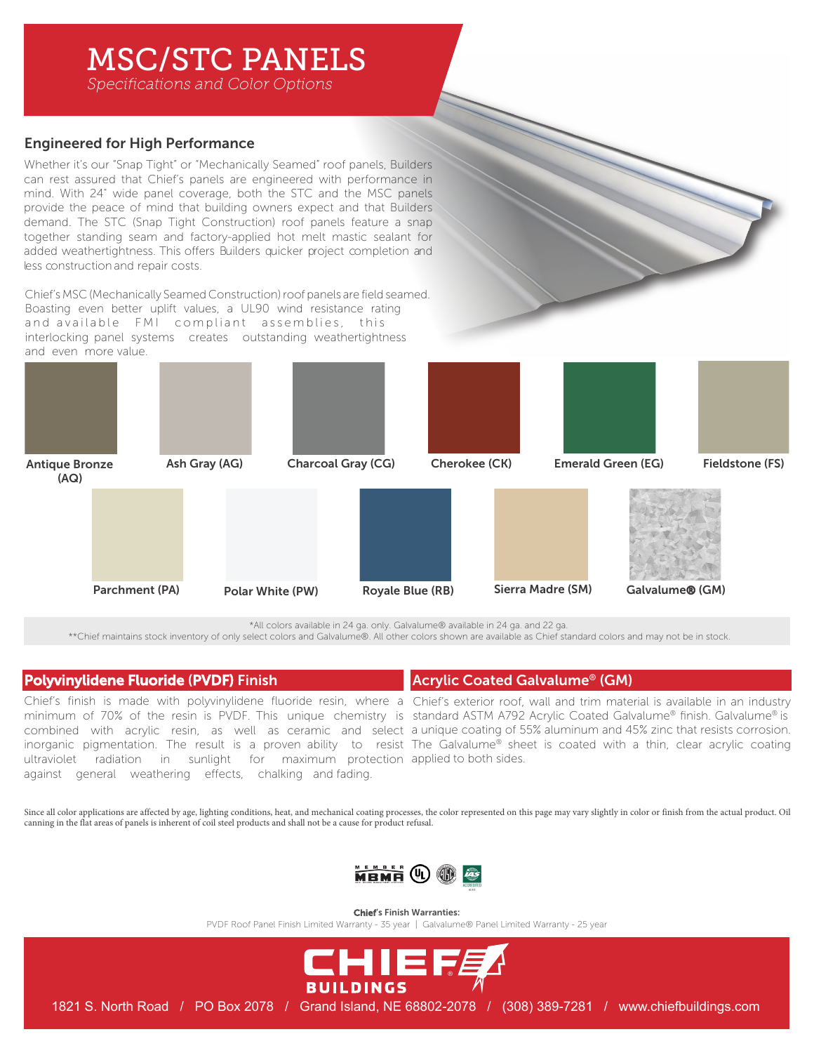# MSC/STC PANELS

*Specifications and Color Options*

## Engineered for High Performance

Whether it's our "Snap Tight" or "Mechanically Seamed" roof panels, Builders can rest assured that Chief's panels are engineered with performance in mind. With 24" wide panel coverage, both the STC and the MSC panels provide the peace of mind that building owners expect and that Builders demand. The STC (Snap Tight Construction) roof panels feature a snap together standing seam and factory-applied hot melt mastic sealant for added weathertightness. This offers Builders quicker project completion and less construction and repair costs.

Chief's MSC (Mechanically Seamed Construction) roof panels are field seamed. Boasting even better uplift values, a UL90 wind resistance rating and available FMI compliant assemblies, this interlocking panel systems creates outstanding weathertightness and even more value.



\*All colors available in 24 ga. only. Galvalume® available in 24 ga. and 22 ga.

\*\*Chief maintains stock inventory of only select colors and Galvalume®. All other colors shown are available as Chief standard colors and may not be in stock.

## Polyvinylidene Fluoride (PVDF) Finish

Chief's finish is made with polyvinylidene fluoride resin, where a Chief's exterior roof, wall and trim material is available in an industry ultraviolet radiation in sunlight for maximum protection applied to both sides. against general weathering effects, chalking and fading.

Acrylic Coated Galvalume® (GM)

minimum of 70% of the resin is PVDF. This unique chemistry is standard ASTM A792 Acrylic Coated Galvalume® finish. Galvalume® is combined with acrylic resin, as well as ceramic and select a unique coating of 55% aluminum and 45% zinc that resists corrosion. inorganic pigmentation. The result is a proven ability to resist The Galvalume® sheet is coated with a thin, clear acrylic coating

Since all color applications are affected by age, lighting conditions, heat, and mechanical coating processes, the color represented on this page may vary slightly in color or finish from the actual product. Oil canning in the flat areas of panels is inherent of coil steel products and shall not be a cause for product refusal.



Chief's Finish Warranties:

PVDF Roof Panel Finish Limited Warranty - 35 year | Galvalume® Panel Limited Warranty - 25 year



1821 S. North Road / PO Box 2078 / Grand Island, NE 68802-2078 / (308) 389-7281 / www.chiefbuildings.com